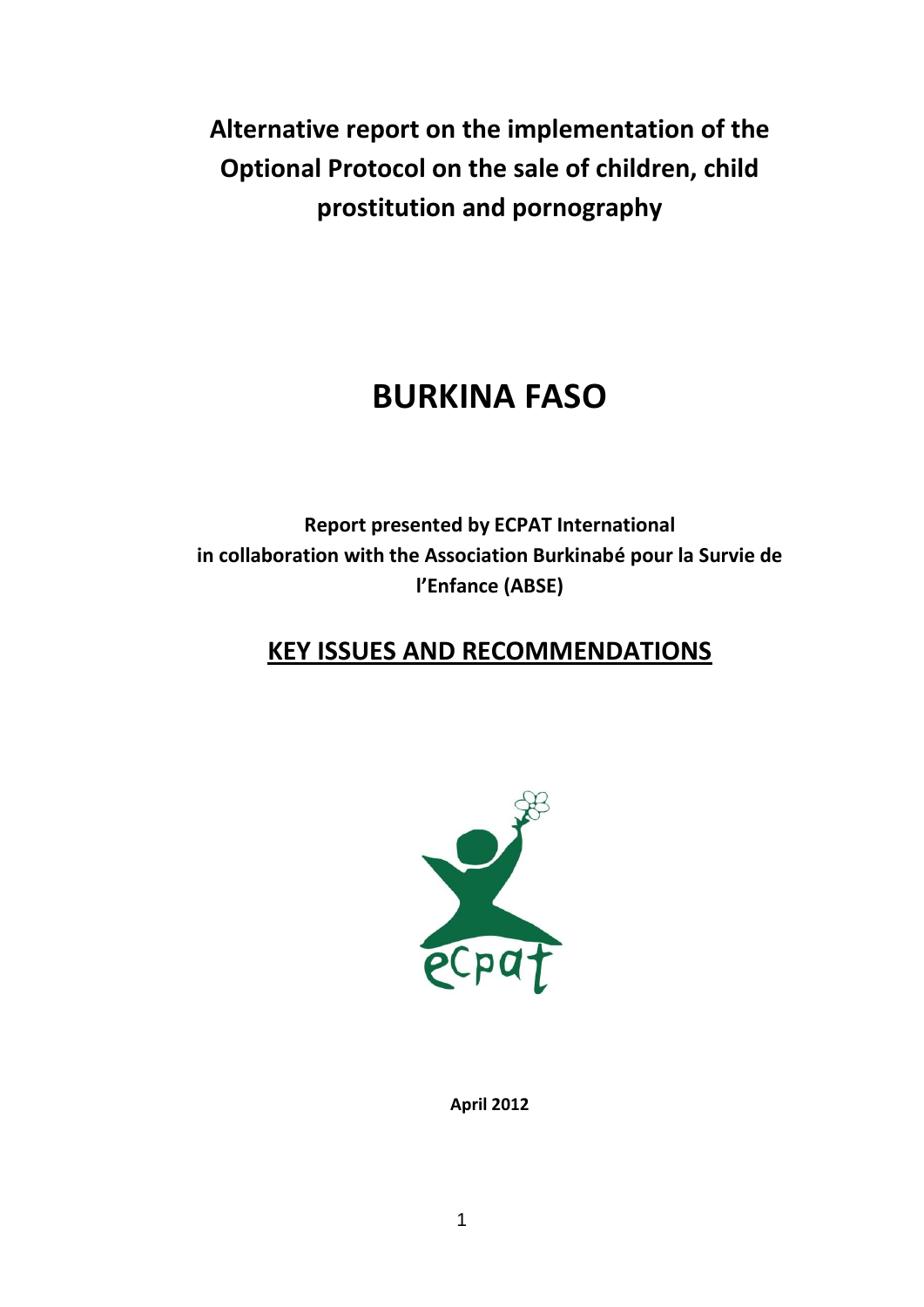**Alternative report on the implementation of the Optional Protocol on the sale of children, child prostitution and pornography** 

# **BURKINA FASO**

**Report presented by ECPAT International in collaboration with the Association Burkinabé pour la Survie de l'Enfance (ABSE)**

# **KEY ISSUES AND RECOMMENDATIONS**



**April 2012**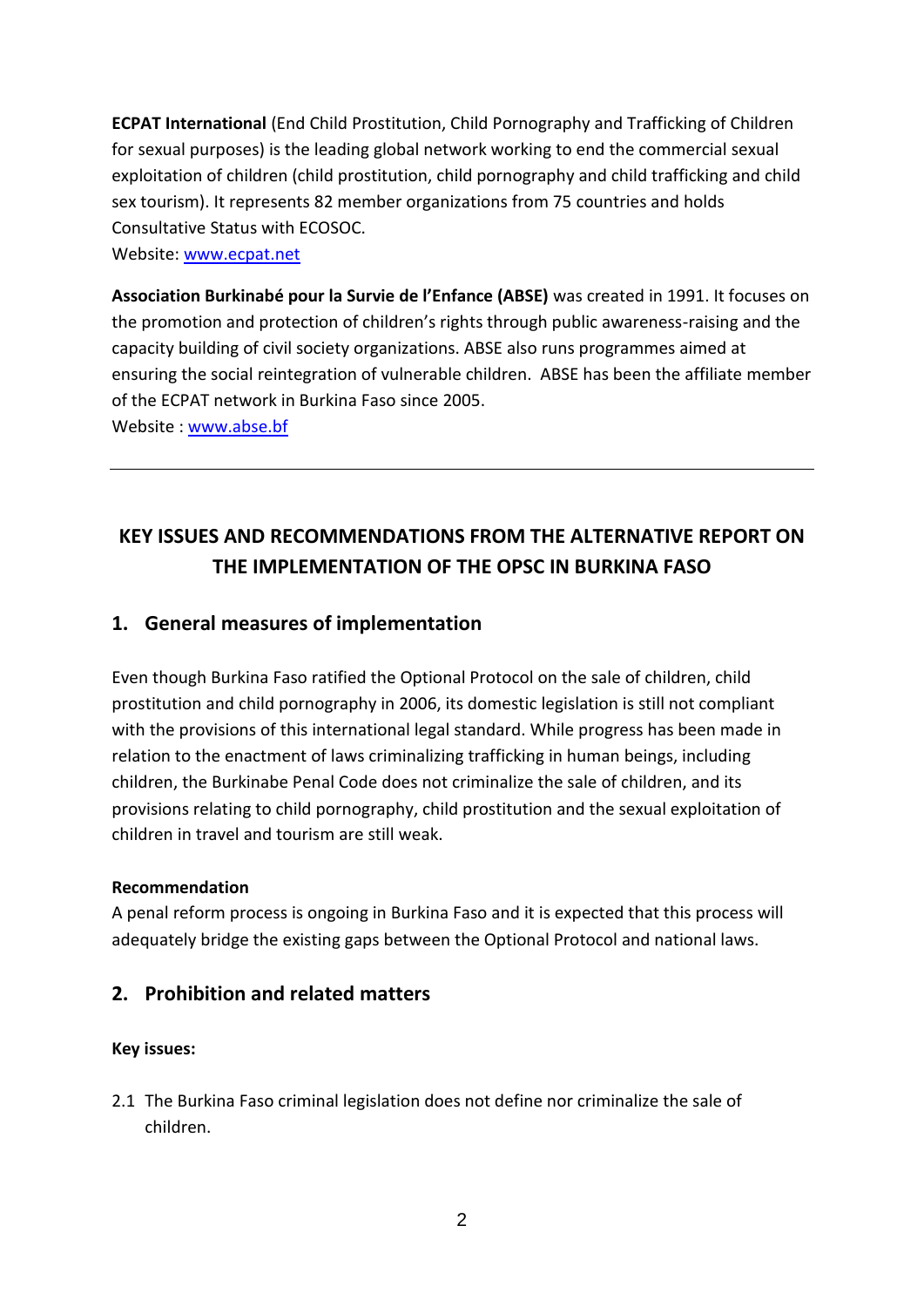**ECPAT International** (End Child Prostitution, Child Pornography and Trafficking of Children for sexual purposes) is the leading global network working to end the commercial sexual exploitation of children (child prostitution, child pornography and child trafficking and child sex tourism). It represents 82 member organizations from 75 countries and holds Consultative Status with ECOSOC.

Website: [www.ecpat.net](http://www.ecpat.net/)

**Association Burkinabé pour la Survie de l'Enfance (ABSE)** was created in 1991. It focuses on the promotion and protection of children's rights through public awareness-raising and the capacity building of civil society organizations. ABSE also runs programmes aimed at ensuring the social reintegration of vulnerable children. ABSE has been the affiliate member of the ECPAT network in Burkina Faso since 2005.

Website : [www.abse.bf](http://www.abse.bf/)

# **KEY ISSUES AND RECOMMENDATIONS FROM THE ALTERNATIVE REPORT ON THE IMPLEMENTATION OF THE OPSC IN BURKINA FASO**

# **1. General measures of implementation**

Even though Burkina Faso ratified the Optional Protocol on the sale of children, child prostitution and child pornography in 2006, its domestic legislation is still not compliant with the provisions of this international legal standard. While progress has been made in relation to the enactment of laws criminalizing trafficking in human beings, including children, the Burkinabe Penal Code does not criminalize the sale of children, and its provisions relating to child pornography, child prostitution and the sexual exploitation of children in travel and tourism are still weak.

#### **Recommendation**

A penal reform process is ongoing in Burkina Faso and it is expected that this process will adequately bridge the existing gaps between the Optional Protocol and national laws.

# **2. Prohibition and related matters**

# **Key issues:**

2.1 The Burkina Faso criminal legislation does not define nor criminalize the sale of children.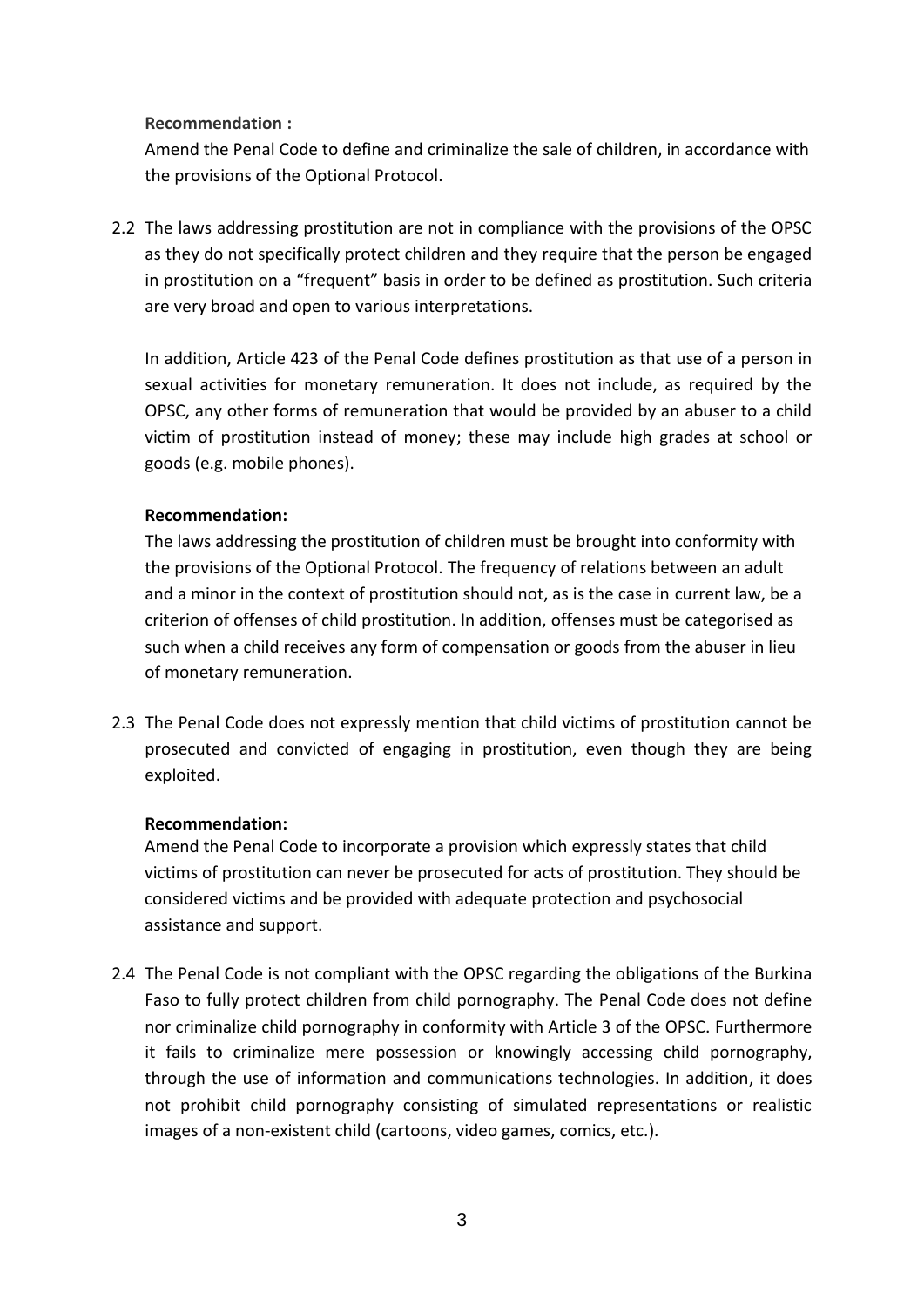## **Recommendation :**

Amend the Penal Code to define and criminalize the sale of children, in accordance with the provisions of the Optional Protocol.

2.2 The laws addressing prostitution are not in compliance with the provisions of the OPSC as they do not specifically protect children and they require that the person be engaged in prostitution on a "frequent" basis in order to be defined as prostitution. Such criteria are very broad and open to various interpretations.

In addition, Article 423 of the Penal Code defines prostitution as that use of a person in sexual activities for monetary remuneration. It does not include, as required by the OPSC, any other forms of remuneration that would be provided by an abuser to a child victim of prostitution instead of money; these may include high grades at school or goods (e.g. mobile phones).

# **Recommendation:**

The laws addressing the prostitution of children must be brought into conformity with the provisions of the Optional Protocol. The frequency of relations between an adult and a minor in the context of prostitution should not, as is the case in current law, be a criterion of offenses of child prostitution. In addition, offenses must be categorised as such when a child receives any form of compensation or goods from the abuser in lieu of monetary remuneration.

2.3 The Penal Code does not expressly mention that child victims of prostitution cannot be prosecuted and convicted of engaging in prostitution, even though they are being exploited.

# **Recommendation:**

Amend the Penal Code to incorporate a provision which expressly states that child victims of prostitution can never be prosecuted for acts of prostitution. They should be considered victims and be provided with adequate protection and psychosocial assistance and support.

2.4 The Penal Code is not compliant with the OPSC regarding the obligations of the Burkina Faso to fully protect children from child pornography. The Penal Code does not define nor criminalize child pornography in conformity with Article 3 of the OPSC. Furthermore it fails to criminalize mere possession or knowingly accessing child pornography, through the use of information and communications technologies. In addition, it does not prohibit child pornography consisting of simulated representations or realistic images of a non-existent child (cartoons, video games, comics, etc.).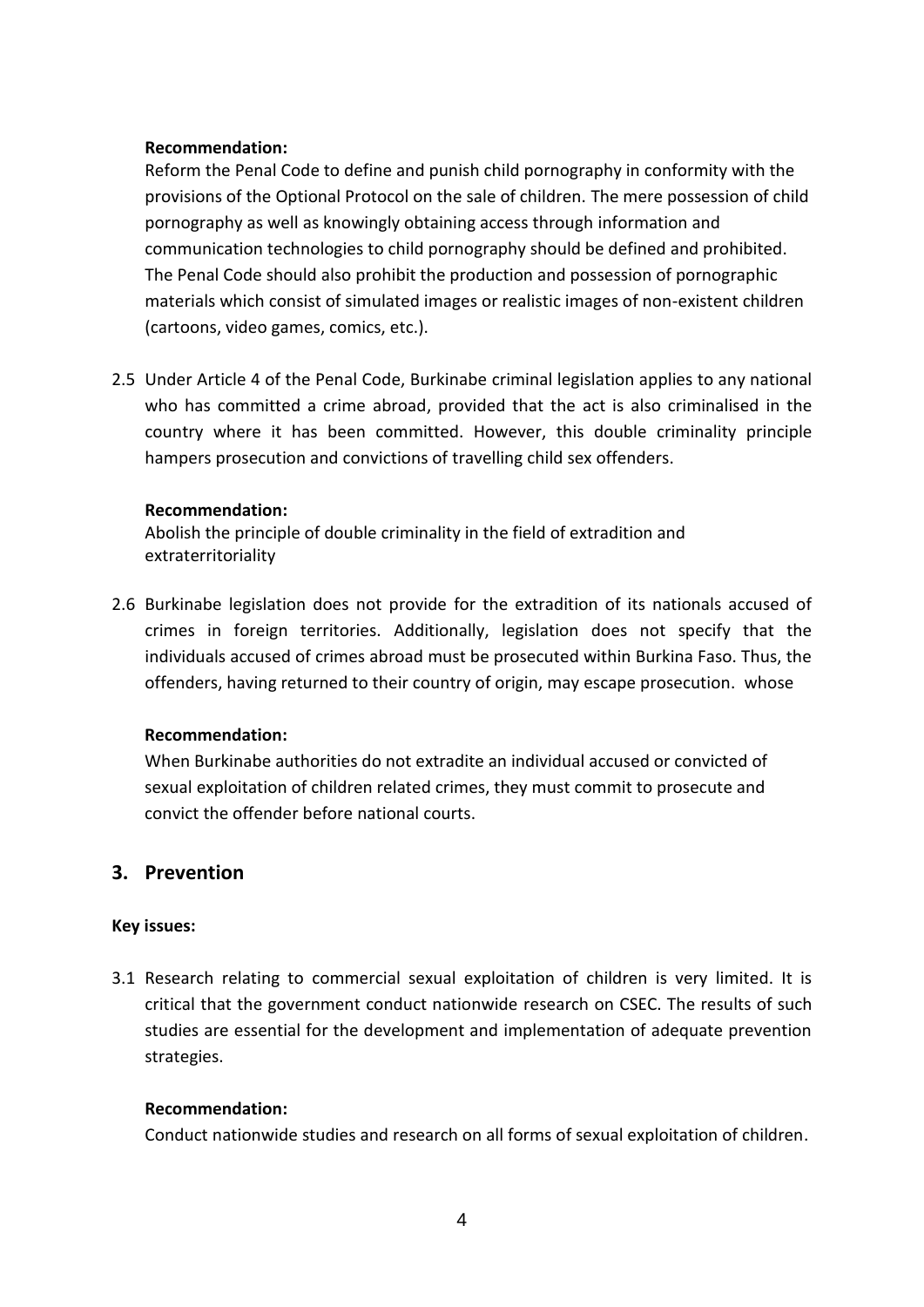#### **Recommendation:**

Reform the Penal Code to define and punish child pornography in conformity with the provisions of the Optional Protocol on the sale of children. The mere possession of child pornography as well as knowingly obtaining access through information and communication technologies to child pornography should be defined and prohibited. The Penal Code should also prohibit the production and possession of pornographic materials which consist of simulated images or realistic images of non-existent children (cartoons, video games, comics, etc.).

2.5 Under Article 4 of the Penal Code, Burkinabe criminal legislation applies to any national who has committed a crime abroad, provided that the act is also criminalised in the country where it has been committed. However, this double criminality principle hampers prosecution and convictions of travelling child sex offenders.

#### **Recommendation:**

Abolish the principle of double criminality in the field of extradition and extraterritoriality

2.6 Burkinabe legislation does not provide for the extradition of its nationals accused of crimes in foreign territories. Additionally, legislation does not specify that the individuals accused of crimes abroad must be prosecuted within Burkina Faso. Thus, the offenders, having returned to their country of origin, may escape prosecution. whose

#### **Recommendation:**

When Burkinabe authorities do not extradite an individual accused or convicted of sexual exploitation of children related crimes, they must commit to prosecute and convict the offender before national courts.

# **3. Prevention**

#### **Key issues:**

3.1 Research relating to commercial sexual exploitation of children is very limited. It is critical that the government conduct nationwide research on CSEC. The results of such studies are essential for the development and implementation of adequate prevention strategies.

#### **Recommendation:**

Conduct nationwide studies and research on all forms of sexual exploitation of children.